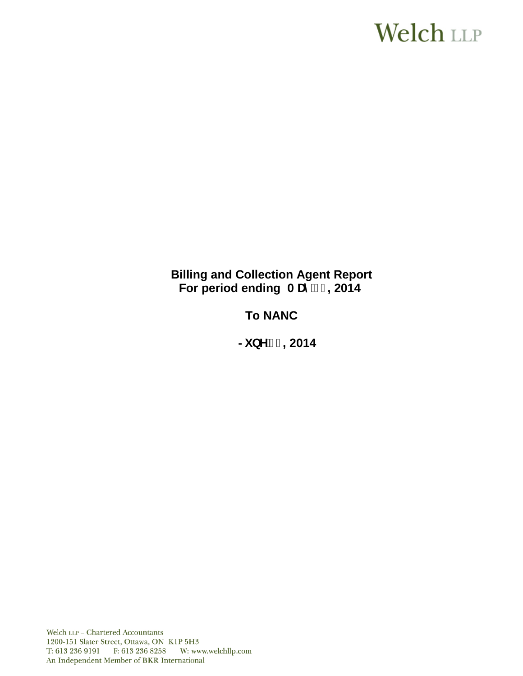# **Welch LLP**

# **Billing and Collection Agent Report** For period ending AUm<sup>'</sup> % 2014

# **To NANC**

 $\frac{1}{2}$ **bY%**, 2014

Welch LLP - Chartered Accountants 1200-151 Slater Street, Ottawa, ON K1P 5H3 T: 613 236 9191 F: 613 236 8258 W: www.welchllp.com An Independent Member of BKR International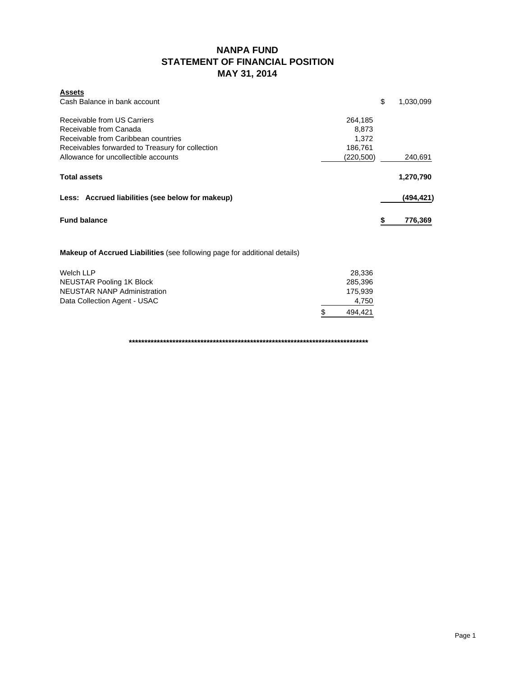## **NANPA FUND STATEMENT OF FINANCIAL POSITION MAY 31, 2014**

| <b>Assets</b>                                    |            |           |
|--------------------------------------------------|------------|-----------|
| Cash Balance in bank account                     | \$         | 1,030,099 |
| Receivable from US Carriers                      | 264,185    |           |
| Receivable from Canada                           | 8.873      |           |
| Receivable from Caribbean countries              | 1.372      |           |
| Receivables forwarded to Treasury for collection | 186,761    |           |
| Allowance for uncollectible accounts             | (220, 500) | 240,691   |
| <b>Total assets</b>                              |            | 1,270,790 |
| Less: Accrued liabilities (see below for makeup) |            | (494,421) |
| <b>Fund balance</b>                              | \$         | 776,369   |

#### **Makeup of Accrued Liabilities** (see following page for additional details)

| Welch LLP                    | 28.336        |
|------------------------------|---------------|
| NEUSTAR Pooling 1K Block     | 285.396       |
| NEUSTAR NANP Administration  | 175.939       |
| Data Collection Agent - USAC | 4.750         |
|                              | \$<br>494.421 |

**\*\*\*\*\*\*\*\*\*\*\*\*\*\*\*\*\*\*\*\*\*\*\*\*\*\*\*\*\*\*\*\*\*\*\*\*\*\*\*\*\*\*\*\*\*\*\*\*\*\*\*\*\*\*\*\*\*\*\*\*\*\*\*\*\*\*\*\*\*\*\*\*\*\*\*\*\***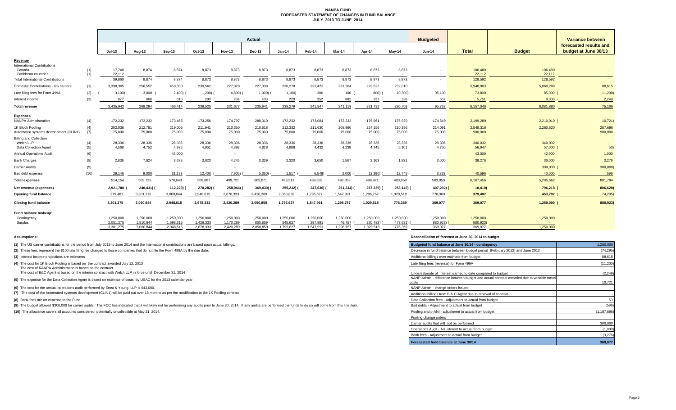#### **NANPA FUND FORECASTED STATEMENT OF CHANGES IN FUND BALANCE JULY 2013 TO JUNE 2014**

|                                                                     |            | Actual                 |                        |                        |                        |                        |                      |                      |                      | <b>Budgeted</b>     |                       |                     | Variance between    |                     |                   |                                                |
|---------------------------------------------------------------------|------------|------------------------|------------------------|------------------------|------------------------|------------------------|----------------------|----------------------|----------------------|---------------------|-----------------------|---------------------|---------------------|---------------------|-------------------|------------------------------------------------|
|                                                                     |            | <b>Jul-13</b>          | Aug-13                 | Sep-13                 | Oct-13                 | <b>Nov-13</b>          | Dec-13               | $Jan-14$             | Feb-14               | Mar-14              | Apr-14                | May-14              | <b>Jun-14</b>       | <b>Total</b>        | <b>Budget</b>     | forecasted results and<br>budget at June 30/13 |
| Revenue                                                             |            |                        |                        |                        |                        |                        |                      |                      |                      |                     |                       |                     |                     |                     |                   |                                                |
| <b>International Contributions</b><br>Canada<br>Caribbean countries | (1)<br>(1) | 17,748<br>22,112       | 8,874<br>$\sim$        | 8,874<br>$\sim$        | 8,873<br>$\sim$        | 8,873<br>$\sim$        | 8,873<br>$\sim$      | 8,873<br>$\sim$      | 8,873                | 8,873<br>$\sim$     | 8,873<br>$\sim$       | 8,873<br>$\sim$     |                     | 106,480<br>22,112   | 106,480<br>22,112 |                                                |
| <b>Total International Contributions</b>                            |            | 39.860                 | 8,874                  | 8.874                  | 8.873                  | 8.873                  | 8,873                | 8,873                | 8,873                | 8.873               | 8.873                 | 8,873               | $\sim$              | 128,592             | 128,592           |                                                |
| Domestic Contributions - US carriers                                | (1)        | 3,398,305              | 256,552                | 459,330                | 230,562                | 227,320                | 227,338              | 230,278              | 232,422              | 231,264             | 223,522               | 232,010             |                     | 5,948,903           | 5,860,288         | 88,615                                         |
| Late filing fees for Form 499A                                      | (2)        | 3,100                  | 3,000                  | 2,400)                 | $1,200$ )              | 4,800                  | 1,000                | 1,100                | 300                  | 100                 | 800)                  | 10,300              | 95.100              | 73,800              | 85,000 (          | 11,200                                         |
| Interest income                                                     | (3)        | 877                    | 868                    | 610                    | 290                    | 284                    | 430                  | 228                  | 352                  | 882                 | 137                   | 126                 | 667                 | 5,751               | 8.000             | 2,249                                          |
| <b>Total revenue</b>                                                |            | 3,435,942              | 269,294                | 466,414                | 238,525                | 231,677                | 235,641              | 238,279              | 241,947              | 241,119             | 231,732               | 230,709             | 95,767              | 6,157,046           | 6,081,880         | 75,166                                         |
| <b>Expenses</b>                                                     |            |                        |                        |                        |                        |                        |                      |                      |                      |                     |                       |                     |                     |                     |                   |                                                |
| <b>NANPA Administration</b>                                         | (4)        | 172,232                | 172,232                | 173,465                | 173,256                | 174,797                | 288,310              | 172,232              | 173,084              | 172,232             | 176,961               | 175,939             | 174,549             | 2,199,289           | 2,210,010 (       | 10,721)                                        |
| 1K Block Pooling                                                    | (4)        | 202,036                | 212,781                | 219,005                | 211,941                | 210,350                | 210,618              | 212,332              | 211,630              | 208,980             | 224,156               | 210,396             | 214,091             | 2,548,316           | 2,260,620         | 287,696                                        |
| Automated systems development (CLIN1)                               | (7)        | 75,000                 | 75,000                 | 75,000                 | 75,000                 | 75,000                 | 75,000               | 75,000               | 75,000               | 75,000              | 75,000                | 75,000              | 75,000              | 900,000             |                   | 900,000                                        |
| <b>Billing and Collection</b><br>Welch LLP                          | (4)        | 28,336                 | 28,336                 | 28,336                 | 28,336                 | 28,336                 | 28,336               | 28,336               | 28,336               | 28,336              | 28,336                | 28,336              | 28,336              | 340,032             | 340,032           |                                                |
| Data Collection Agent                                               | (5)        | 4,568                  | 4,752                  | 4,976                  | 4,851                  | 4,898                  | 4,828                | 4,808                | 4,432                | 4,238               | 4,745                 | 5,101               | 4,750               | 56,947              | 57,000            | 53)                                            |
| <b>Annual Operations Audit</b>                                      | (6)        | ٠                      | $\sim$                 | 43,000                 | $\sim$                 | $\sim$                 | ۰.                   | $\sim$               |                      | $\sim$              |                       |                     | $\sim$              | 43,000              | 42,000            | 1,000                                          |
| <b>Bank Charges</b>                                                 | (8)        | 2,836                  | 7,624                  | 3,678                  | 3,023                  | 4.245                  | 3,339                | 2,320                | 3,650                | 1,567               | 2,163                 | 1,831               | 3,000               | 39,276              | 36,000            | 3,276                                          |
| Carrier Audits                                                      | (9)        |                        | $\sim$                 | $\sim$                 |                        | $\sim$                 | ۰.                   |                      |                      | $\sim$              | $\sim$                |                     |                     |                     | 300,000           | 300,000)                                       |
| Bad debt expense                                                    | (10)       | 29,146                 | 9,000                  | 31,183                 | 12,400                 | 7,905)                 | 5,360)               | 1,517                | 6,549                | 2,000               | 12,390)               | 12,745              | 3,333               | 40,596              | 40,000            | 596                                            |
| <b>Total expenses</b>                                               |            | 514,154                | 509,725                | 578,643                | 508,807                | 489,721                | 605,071              | 493,511              | 489,583              | 492,353             | 498,971               | 483,858             | 503,059             | 6,167,456           | 5,285,662         | 881,794                                        |
| Net revenue (expenses)                                              |            | 2,921,788              | 240,431)               | 112,229)               | 270,282) (             | 258,044)               | 369,430)             | 255,232)             | 247,636)             | 251,234) (          | 267,239)              | 253,149) (          | 407,292) (          | 10,410              | 796,218 (         | 806,628)                                       |
| <b>Opening fund balance</b>                                         |            | 379,487                | 3,301,275              | 3.060.844              | 2,948,615              | 2,678,333              | 2,420,289            | 2,050,859            | 1,795,627            | 1,547,991           | 1,296,757             | 1,029,518           | 776.369             | 379,487             | 453,782           | 74,295)                                        |
| <b>Closing fund balance</b>                                         |            | 3,301,275              | 3,060,844              | 2,948,615              | 2,678,333              | 2,420,289              | 2,050,859            | 1,795,627            | 1,547,991            | 1,296,757           | 1,029,518             | 776,369             | 369,077             | 369,077             | 1,250,000         | 880,923                                        |
| Fund balance makeup:                                                |            |                        |                        |                        |                        |                        |                      |                      |                      |                     |                       |                     |                     |                     |                   |                                                |
| Contingency                                                         |            | 1.250.000              | 1,250,000              | 1.250.000              | 1.250.000              | 1.250.000              | 1.250.000            | 1.250.000            | 1,250,000            | 1,250,000           | 1.250.000             | 1,250,000           | 1,250,000           | 1,250,000           | 1,250,000         |                                                |
| Surplus                                                             |            | 2,051,275<br>3,301,275 | 1,810,844<br>3,060,844 | 1,698,615<br>2,948,615 | 1,428,333<br>2,678,333 | 1,170,289<br>2,420,289 | 800,859<br>2,050,859 | 545,627<br>1,795,627 | 297,991<br>1,547,991 | 46,757<br>1,296,757 | 220,482)<br>1,029,518 | 473,631)<br>776,369 | 880,923)<br>369.077 | 880,923)<br>369,077 | 1,250,000         |                                                |
|                                                                     |            |                        |                        |                        |                        |                        |                      |                      |                      |                     |                       |                     |                     |                     |                   |                                                |

**(1)** The US carrier contributions for the period from July 2013 to June 2014 and the International contributions are based upon actual billings.

(2) These fees represent the \$100 late filing fee charged to those companies that do not file the Form 499A by the due date.

**(3)** Interest income projections are estimates

**(4)** The cost for 1K Block Pooling is based on the contract awarded July 12, 2013

The cost of NANPA Administration is based on the contract. The cost of B&C Agent is based on the interim contract with Welch LLP in force until December 31, 2014

**(5)** The expense for the Data Collection Agent is based on estimate of costs by USAC for the 2013 calendar year.

**(6)** The cost for the annual operations audit performed by Ernst & Young LLP is \$43,000.

**(7)** The cost of the Automated systems development (CLIN1) will be paid out over 18 months as per the modification to the 1K Pooling contract.

**(8)** Bank fees are an expense to the Fund.

(9) The budget allowed \$300,000 for carrier audits. The FCC has indicated that it will likely not be performing any audits prior to June 30, 2014. If any audits are performed the funds to do so will come from this line ite

**(10)** The allowance covers all accounts considered potentially uncollectible at May 31, 2014.

#### **Assumptions: Reconciliation of forecast at June 30, 2014 to budget**

| Budgeted fund balance at June 30/14 - contingency                                                  | 1,250,000     |
|----------------------------------------------------------------------------------------------------|---------------|
| Decrease in fund balance between budget period (February 2012) and June 2012                       | (74, 295)     |
| Additional billings over estimate from budget                                                      | 88,615        |
| Late filing fees (reversal) for Form 499A                                                          | (11, 200)     |
| Underestimate of interest earned to date compared to budget                                        | (2, 249)      |
| NANP Admin - difference between budget and actual contract awarded due to variable travel<br>costs | 10,721        |
| NANP Admin - change orders issued                                                                  |               |
| Additional billings from B & C Agent due to renewal of contract                                    |               |
| Data Collection fees - Adjustment to actual from budget                                            | 53            |
| Bad debts - Adjustment to actual from budget                                                       | (596)         |
| Pooling and p-ANI - adjustment to actual from budget                                               | (1, 187, 696) |
| Pooling change orders                                                                              |               |
| Carrier audits that will not be performed                                                          | 300,000       |
| Operations Audit - Adjustment to actual from budget                                                | (1,000)       |
| Bank fees - Adjustment to actual from budget                                                       | (3,276)       |
| Forecasted fund balance at June 30/14                                                              | 369.077       |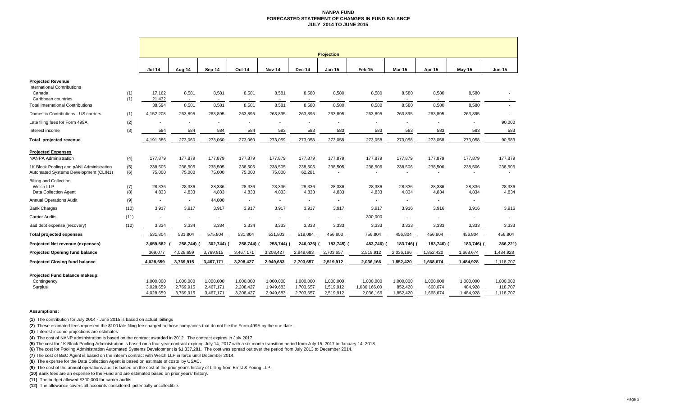#### **NANPA FUND FORECASTED STATEMENT OF CHANGES IN FUND BALANCEJULY 2014 TO JUNE 2015**

|                                                                                   |            | <b>Projection</b>                   |                                     |                                     |                                     |                                     |                                     |                                     |                                        |                                   |                                   |                                   |                                   |
|-----------------------------------------------------------------------------------|------------|-------------------------------------|-------------------------------------|-------------------------------------|-------------------------------------|-------------------------------------|-------------------------------------|-------------------------------------|----------------------------------------|-----------------------------------|-----------------------------------|-----------------------------------|-----------------------------------|
|                                                                                   |            | <b>Jul-14</b>                       | Aug-14                              | Sep-14                              | Oct-14                              | <b>Nov-14</b>                       | Dec-14                              | Jan-15                              | Feb-15                                 | <b>Mar-15</b>                     | Apr-15                            | $May-15$                          | Jun-15                            |
| <b>Projected Revenue</b>                                                          |            |                                     |                                     |                                     |                                     |                                     |                                     |                                     |                                        |                                   |                                   |                                   |                                   |
| <b>International Contributions</b><br>Canada<br>Caribbean countries               | (1)<br>(1) | 17.162<br>21,432                    | 8,581<br>$\sim$                     | 8,581<br>$\sim$                     | 8,581                               | 8,581                               | 8,580                               | 8,580                               | 8,580<br>$\sim$                        | 8,580                             | 8,580                             | 8,580                             | $\sim$                            |
| <b>Total International Contributions</b>                                          |            | 38,594                              | 8,581                               | 8,581                               | 8,581                               | 8,581                               | 8,580                               | 8,580                               | 8,580                                  | 8,580                             | 8,580                             | 8,580                             | ÷.                                |
| Domestic Contributions - US carriers                                              | (1)        | 4,152,208                           | 263,895                             | 263,895                             | 263,895                             | 263,895                             | 263,895                             | 263,895                             | 263,895                                | 263,895                           | 263,895                           | 263,895                           |                                   |
| Late filing fees for Form 499A                                                    | (2)        |                                     |                                     |                                     |                                     | $\overline{\phantom{a}}$            |                                     | $\overline{\phantom{a}}$            |                                        |                                   |                                   |                                   | 90,000                            |
| Interest income                                                                   | (3)        | 584                                 | 584                                 | 584                                 | 584                                 | 583                                 | 583                                 | 583                                 | 583                                    | 583                               | 583                               | 583                               | 583                               |
| Total projected revenue                                                           |            | 4,191,386                           | 273,060                             | 273,060                             | 273,060                             | 273,059                             | 273,058                             | 273,058                             | 273,058                                | 273,058                           | 273,058                           | 273,058                           | 90,583                            |
| <b>Projected Expenses</b><br><b>NANPA Administration</b>                          | (4)        | 177,879                             | 177,879                             | 177,879                             | 177,879                             | 177,879                             | 177,879                             | 177,879                             | 177,879                                | 177,879                           | 177,879                           | 177,879                           | 177,879                           |
| 1K Block Pooling and pANI Administration<br>Automated Systems Development (CLIN1) | (5)<br>(6) | 238,505<br>75,000                   | 238,505<br>75,000                   | 238.505<br>75,000                   | 238,505<br>75,000                   | 238,505<br>75,000                   | 238.505<br>62,281                   | 238,505                             | 238,506<br>$\sim$                      | 238,506                           | 238,506                           | 238,506                           | 238,506                           |
| <b>Billing and Collection</b><br>Welch LLP<br><b>Data Collection Agent</b>        | (7)<br>(8) | 28,336<br>4,833                     | 28,336<br>4,833                     | 28,336<br>4,833                     | 28,336<br>4,833                     | 28,336<br>4,833                     | 28,336<br>4,833                     | 28,336<br>4,833                     | 28,336<br>4,833                        | 28,336<br>4,834                   | 28,336<br>4,834                   | 28,336<br>4,834                   | 28,336<br>4,834                   |
| <b>Annual Operations Audit</b>                                                    | (9)        | $\sim$                              | $\sim$                              | 44,000                              |                                     | $\overline{\phantom{a}}$            | $\overline{\phantom{a}}$            | $\overline{\phantom{a}}$            | $\overline{\phantom{a}}$               | $\overline{\phantom{a}}$          | $\sim$                            | $\sim$                            |                                   |
| <b>Bank Charges</b>                                                               | (10)       | 3,917                               | 3,917                               | 3,917                               | 3,917                               | 3,917                               | 3,917                               | 3,917                               | 3,917                                  | 3,916                             | 3,916                             | 3,916                             | 3,916                             |
| <b>Carrier Audits</b>                                                             | (11)       |                                     |                                     |                                     |                                     | $\blacksquare$                      | $\blacksquare$                      | ÷,                                  | 300,000                                |                                   |                                   | $\overline{\phantom{a}}$          |                                   |
| Bad debt expense (recovery)                                                       | (12)       | 3,334                               | 3,334                               | 3,334                               | 3,334                               | 3,333                               | 3,333                               | 3,333                               | 3,333                                  | 3,333                             | 3,333                             | 3,333                             | 3,333                             |
| <b>Total projected expenses</b>                                                   |            | 531,804                             | 531,804                             | 575,804                             | 531,804                             | 531,803                             | 519,084                             | 456,803                             | 756,804                                | 456,804                           | 456,804                           | 456,804                           | 456,804                           |
| Projected Net revenue (expenses)                                                  |            | 3,659,582                           | 258,744) (                          | 302,744)                            | 258,744) (                          | 258,744)                            | 246,026)                            | 183,745) (                          | 483,746) (                             | 183,746) (                        | 183,746) (                        | 183,746) (                        | 366,221)                          |
| <b>Projected Opening fund balance</b>                                             |            | 369,077                             | 4,028,659                           | 3,769,915                           | 3,467,171                           | 3,208,427                           | 2,949,683                           | 2,703,657                           | 2,519,912                              | 2,036,166                         | 1,852,420                         | 1,668,674                         | 1,484,928                         |
| <b>Projected Closing fund balance</b>                                             |            | 4,028,659                           | 3,769,915                           | 3,467,171                           | 3,208,427                           | 2,949,683                           | 2,703,657                           | 2,519,912                           | 2,036,166                              | 1,852,420                         | 1,668,674                         | 1,484,928                         | 1,118,707                         |
| Projected Fund balance makeup:<br>Contingency<br>Surplus                          |            | 1,000,000<br>3,028,659<br>4,028,659 | 1,000,000<br>2,769,915<br>3,769,915 | 1,000,000<br>2,467,171<br>3,467,171 | 1,000,000<br>2,208,427<br>3,208,427 | 1,000,000<br>1,949,683<br>2,949,683 | 1,000,000<br>1,703,657<br>2,703,657 | 1,000,000<br>1,519,912<br>2,519,912 | 1,000,000<br>1,036,166.00<br>2,036,166 | 1,000,000<br>852,420<br>1,852,420 | 1,000,000<br>668,674<br>1,668,674 | 1,000,000<br>484,928<br>1,484,928 | 1,000,000<br>118,707<br>1,118,707 |

#### **Assumptions:**

**(1)** The contribution for July 2014 - June 2015 is based on actual billings

**(2)** These estimated fees represent the \$100 late filing fee charged to those companies that do not file the Form 499A by the due date.

**(3)** Interest income projections are estimates

**(4)** The cost of NANP administration is based on the contract awarded in 2012. The contract expires in July 2017.

**(5)** The cost for 1K Block Pooling Administration is based on a four-year contract expiring July 14, 2017 with a six month transition period from July 15, 2017 to January 14, 2018.

**(6)** The cost for Pooling Administration Automated Systems Development is \$1,337,281. The cost was spread out over the period from July 2013 to December 2014.

**(7)** The cost of B&C Agent is based on the interim contract with Welch LLP in force until December 2014.

**(8)** The expense for the Data Collection Agent is based on estimate of costs by USAC.

**(9)** The cost of the annual operations audit is based on the cost of the prior year's history of billing from Ernst & Young LLP.

**(10)** Bank fees are an expense to the Fund and are estimated based on prior years' history.

**(11)** The budget allowed \$300,000 for carrier audits.

**(12)** The allowance covers all accounts considered potentially uncollectible.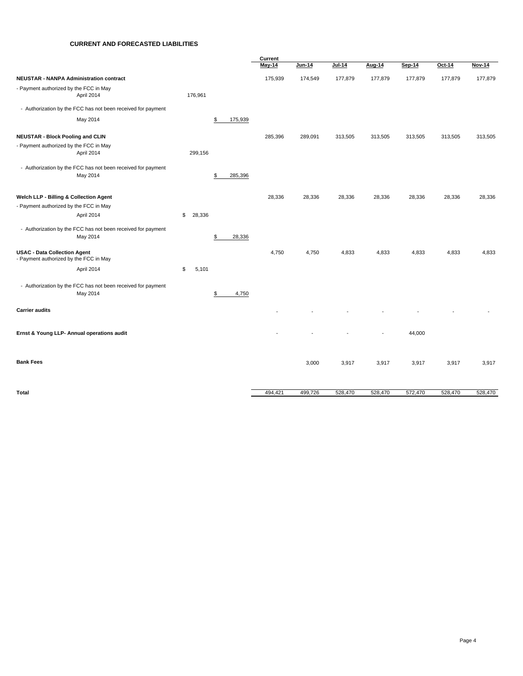#### **CURRENT AND FORECASTED LIABILITIES**

|                                                                                  |              |               | Current       |         |         |         |         |         |               |
|----------------------------------------------------------------------------------|--------------|---------------|---------------|---------|---------|---------|---------|---------|---------------|
|                                                                                  |              |               | <b>May-14</b> | Jun-14  | Jul-14  | Aug-14  | Sep-14  | Oct-14  | <b>Nov-14</b> |
| <b>NEUSTAR - NANPA Administration contract</b>                                   |              |               | 175,939       | 174,549 | 177,879 | 177,879 | 177,879 | 177,879 | 177,879       |
| - Payment authorized by the FCC in May<br>April 2014                             | 176,961      |               |               |         |         |         |         |         |               |
| - Authorization by the FCC has not been received for payment                     |              |               |               |         |         |         |         |         |               |
| May 2014                                                                         |              | \$<br>175,939 |               |         |         |         |         |         |               |
| <b>NEUSTAR - Block Pooling and CLIN</b>                                          |              |               | 285,396       | 289,091 | 313,505 | 313,505 | 313,505 | 313,505 | 313,505       |
| - Payment authorized by the FCC in May<br>April 2014                             | 299,156      |               |               |         |         |         |         |         |               |
| - Authorization by the FCC has not been received for payment<br>May 2014         |              | \$<br>285,396 |               |         |         |         |         |         |               |
| Welch LLP - Billing & Collection Agent<br>- Payment authorized by the FCC in May |              |               | 28,336        | 28,336  | 28,336  | 28,336  | 28,336  | 28,336  | 28,336        |
| April 2014                                                                       | \$<br>28,336 |               |               |         |         |         |         |         |               |
| - Authorization by the FCC has not been received for payment<br>May 2014         |              | 28,336<br>\$  |               |         |         |         |         |         |               |
| <b>USAC - Data Collection Agent</b><br>- Payment authorized by the FCC in May    |              |               | 4,750         | 4,750   | 4,833   | 4,833   | 4,833   | 4,833   | 4,833         |
| April 2014                                                                       | 5,101<br>\$  |               |               |         |         |         |         |         |               |
| - Authorization by the FCC has not been received for payment<br>May 2014         |              | \$<br>4,750   |               |         |         |         |         |         |               |
| <b>Carrier audits</b>                                                            |              |               |               |         |         |         |         |         |               |
| Ernst & Young LLP- Annual operations audit                                       |              |               |               |         |         |         | 44,000  |         |               |
| <b>Bank Fees</b>                                                                 |              |               |               | 3,000   | 3,917   | 3,917   | 3,917   | 3,917   | 3,917         |
| Total                                                                            |              |               | 494,421       | 499,726 | 528,470 | 528,470 | 572,470 | 528,470 | 528,470       |